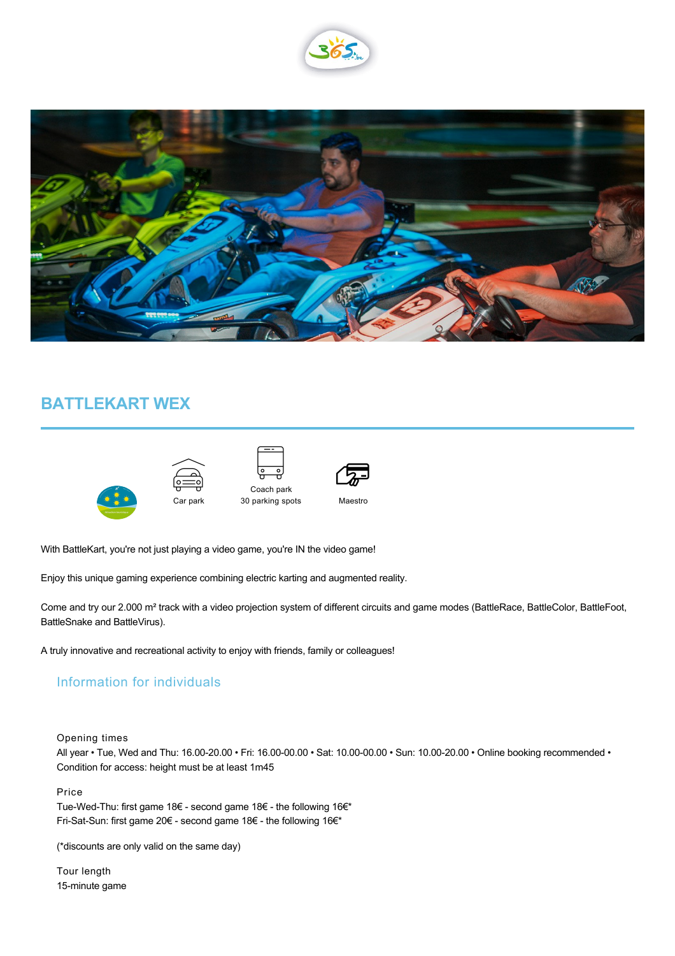



## **BATTLEKART WEX**



 $\widehat{\bigoplus\limits_{i=0}^{n}}$ Car park





Maestro

With BattleKart, you're not just playing a video game, you're IN the video game!

Enjoy this unique gaming experience combining electric karting and augmented reality.

Come and try our 2.000 m² track with a video projection system of different circuits and game modes (BattleRace, BattleColor, BattleFoot, BattleSnake and BattleVirus).

A truly innovative and recreational activity to enjoy with friends, family or colleagues!

## Information for individuals

Opening times

All year • Tue, Wed and Thu: 16.00-20.00 • Fri: 16.00-00.00 • Sat: 10.00-00.00 • Sun: 10.00-20.00 • Online booking recommended • Condition for access: height must be at least 1m45

Price

Tue-Wed-Thu: first game 18€ - second game 18€ - the following 16€\* Fri-Sat-Sun: first game 20€ - second game 18€ - the following 16€\*

(\*discounts are only valid on the same day)

Tour length 15-minute game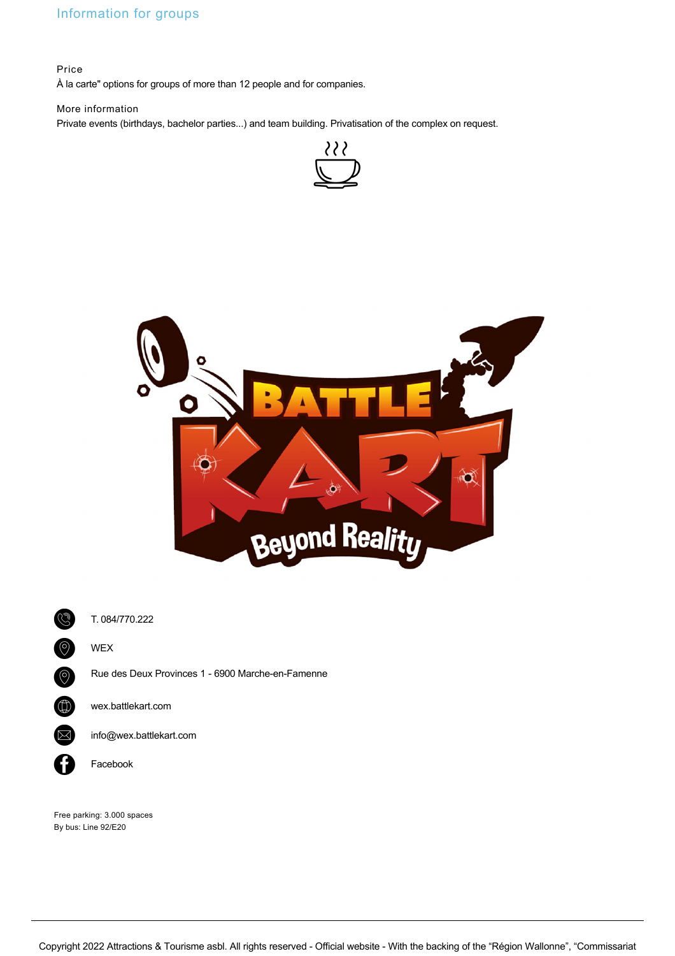## Information for groups

Price

À la carte" options for groups of more than 12 people and for companies.

## More information

Private events (birthdays, bachelor parties...) and team building. Privatisation of the complex on request.







T. [084/770.222](tel:084/770.222)

WEX

Rue des Deux Provinces 1 - 6900 Marche-en-Famenne

[wex.battlekart.com](http://wex.battlekart.com)

 $\times$  [info@wex.battlekart.com](mailto:info@wex.battlekart.com)

[Facebook](https://www.facebook.com/BattleKartWEX/)

Free parking: 3.000 spaces By bus: Line 92/E20

Copyright 2022 Attractions & Tourisme asbl. All rights reserved - Official website - With the backing of the "Région Wallonne", "Commissariat